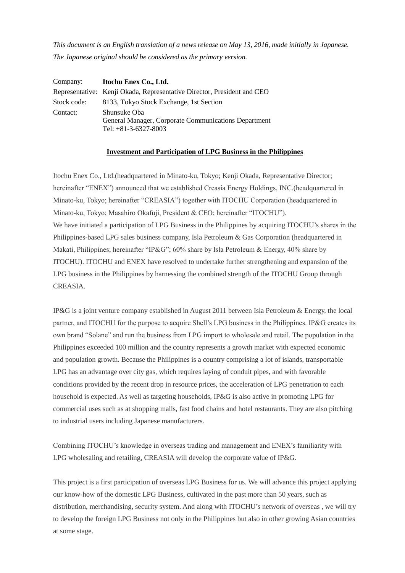*This document is an English translation of a news release on May 13, 2016, made initially in Japanese. The Japanese original should be considered as the primary version.*

| Company:    | Itochu Enex Co., Ltd.                                                                          |
|-------------|------------------------------------------------------------------------------------------------|
|             | Representative: Kenji Okada, Representative Director, President and CEO                        |
| Stock code: | 8133, Tokyo Stock Exchange, 1st Section                                                        |
| Contact:    | Shunsuke Oba<br>General Manager, Corporate Communications Department<br>Tel: $+81-3-6327-8003$ |

## **Investment and Participation of LPG Business in the Philippines**

Itochu Enex Co., Ltd.(headquartered in Minato-ku, Tokyo; Kenji Okada, Representative Director; hereinafter "ENEX") announced that we established Creasia Energy Holdings, INC.(headquartered in Minato-ku, Tokyo; hereinafter "CREASIA") together with ITOCHU Corporation (headquartered in Minato-ku, Tokyo; Masahiro Okafuji, President & CEO; hereinafter "ITOCHU"). We have initiated a participation of LPG Business in the Philippines by acquiring ITOCHU's shares in the Philippines-based LPG sales business company, Isla Petroleum & Gas Corporation (headquartered in Makati, Philippines; hereinafter "IP&G"; 60% share by Isla Petroleum & Energy, 40% share by ITOCHU). ITOCHU and ENEX have resolved to undertake further strengthening and expansion of the LPG business in the Philippines by harnessing the combined strength of the ITOCHU Group through CREASIA.

IP&G is a joint venture company established in August 2011 between Isla Petroleum & Energy, the local partner, and ITOCHU for the purpose to acquire Shell's LPG business in the Philippines. IP&G creates its own brand "Solane" and run the business from LPG import to wholesale and retail. The population in the Philippines exceeded 100 million and the country represents a growth market with expected economic and population growth. Because the Philippines is a country comprising a lot of islands, transportable LPG has an advantage over city gas, which requires laying of conduit pipes, and with favorable conditions provided by the recent drop in resource prices, the acceleration of LPG penetration to each household is expected. As well as targeting households, IP&G is also active in promoting LPG for commercial uses such as at shopping malls, fast food chains and hotel restaurants. They are also pitching to industrial users including Japanese manufacturers.

Combining ITOCHU's knowledge in overseas trading and management and ENEX's familiarity with LPG wholesaling and retailing, CREASIA will develop the corporate value of IP&G.

This project is a first participation of overseas LPG Business for us. We will advance this project applying our know-how of the domestic LPG Business, cultivated in the past more than 50 years, such as distribution, merchandising, security system. And along with ITOCHU's network of overseas , we will try to develop the foreign LPG Business not only in the Philippines but also in other growing Asian countries at some stage.